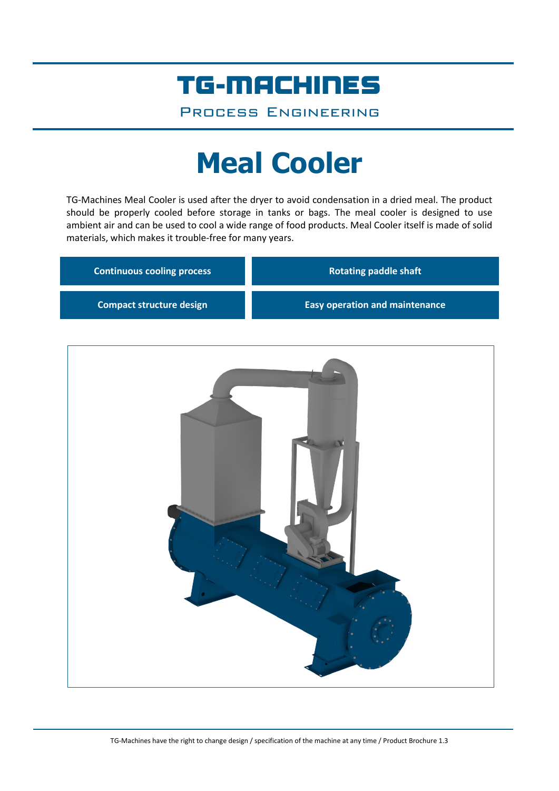## TG-MACHINES

Process Engineering

# **Meal Cooler**

TG-Machines Meal Cooler is used after the dryer to avoid condensation in a dried meal. The product should be properly cooled before storage in tanks or bags. The meal cooler is designed to use ambient air and can be used to cool a wide range of food products. Meal Cooler itself is made of solid materials, which makes it trouble-free for many years.